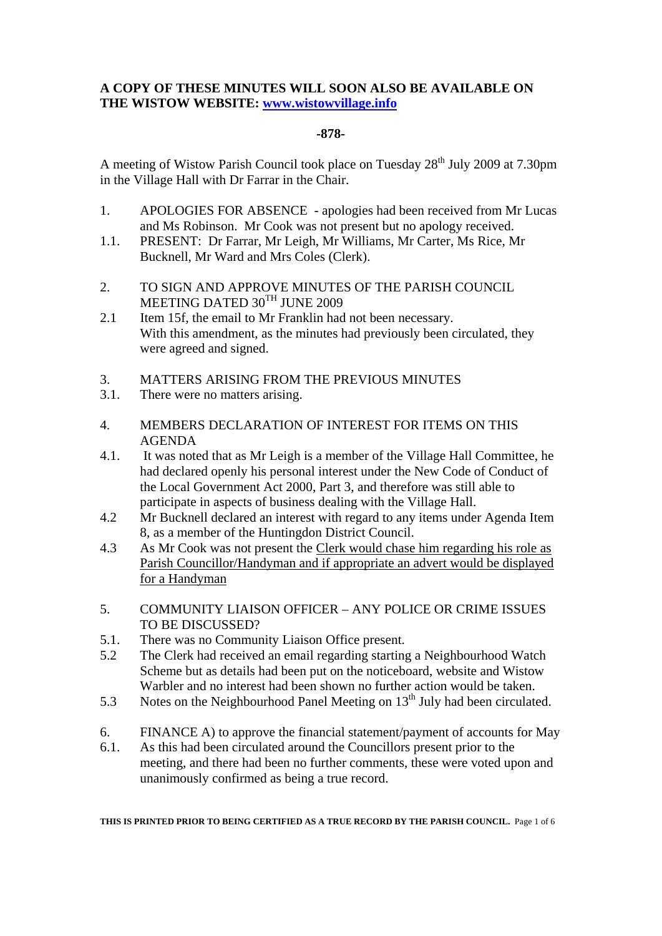## **A COPY OF THESE MINUTES WILL SOON ALSO BE AVAILABLE ON THE WISTOW WEBSITE: www.wistowvillage.info**

## **-878-**

A meeting of Wistow Parish Council took place on Tuesday  $28<sup>th</sup>$  July 2009 at 7.30pm in the Village Hall with Dr Farrar in the Chair.

- 1. APOLOGIES FOR ABSENCE apologies had been received from Mr Lucas and Ms Robinson. Mr Cook was not present but no apology received.
- 1.1. PRESENT: Dr Farrar, Mr Leigh, Mr Williams, Mr Carter, Ms Rice, Mr Bucknell, Mr Ward and Mrs Coles (Clerk).
- 2. TO SIGN AND APPROVE MINUTES OF THE PARISH COUNCIL MEETING DATED 30TH JUNE 2009
- 2.1 Item 15f, the email to Mr Franklin had not been necessary. With this amendment, as the minutes had previously been circulated, they were agreed and signed.
- 3. MATTERS ARISING FROM THE PREVIOUS MINUTES
- 3.1. There were no matters arising.
- 4. MEMBERS DECLARATION OF INTEREST FOR ITEMS ON THIS AGENDA
- 4.1. It was noted that as Mr Leigh is a member of the Village Hall Committee, he had declared openly his personal interest under the New Code of Conduct of the Local Government Act 2000, Part 3, and therefore was still able to participate in aspects of business dealing with the Village Hall.
- 4.2 Mr Bucknell declared an interest with regard to any items under Agenda Item 8, as a member of the Huntingdon District Council.
- 4.3 As Mr Cook was not present the Clerk would chase him regarding his role as Parish Councillor/Handyman and if appropriate an advert would be displayed for a Handyman
- 5. COMMUNITY LIAISON OFFICER ANY POLICE OR CRIME ISSUES TO BE DISCUSSED?
- 5.1. There was no Community Liaison Office present.
- 5.2 The Clerk had received an email regarding starting a Neighbourhood Watch Scheme but as details had been put on the noticeboard, website and Wistow Warbler and no interest had been shown no further action would be taken.
- 5.3 Notes on the Neighbourhood Panel Meeting on  $13<sup>th</sup>$  July had been circulated.
- 6. FINANCE A) to approve the financial statement/payment of accounts for May
- 6.1. As this had been circulated around the Councillors present prior to the meeting, and there had been no further comments, these were voted upon and unanimously confirmed as being a true record.

**THIS IS PRINTED PRIOR TO BEING CERTIFIED AS A TRUE RECORD BY THE PARISH COUNCIL.** Page 1 of 6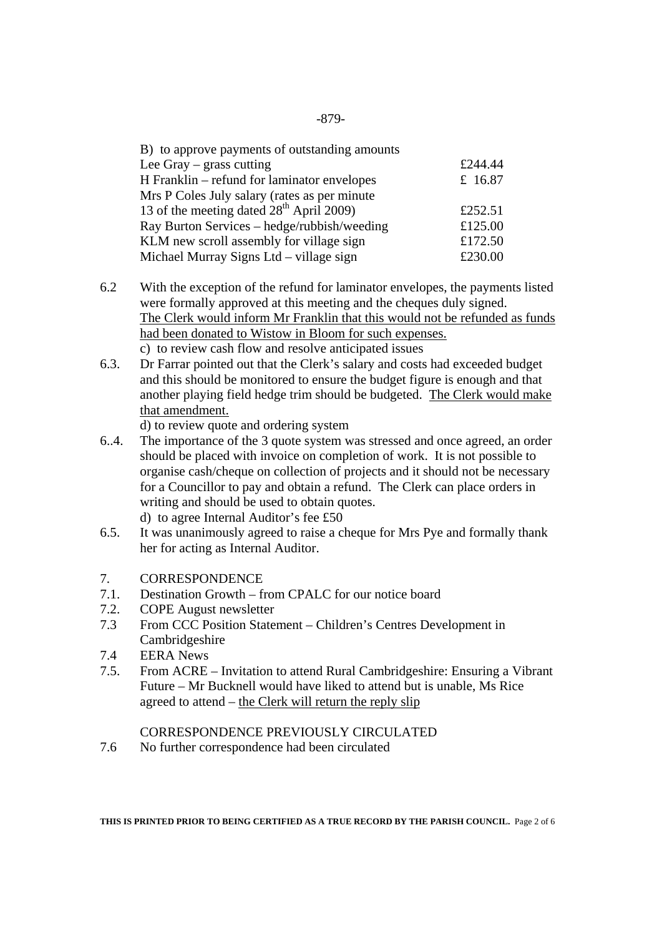| B) to approve payments of outstanding amounts        |         |
|------------------------------------------------------|---------|
| Lee Gray $-$ grass cutting                           | £244.44 |
| H Franklin – refund for laminator envelopes          | £ 16.87 |
| Mrs P Coles July salary (rates as per minute         |         |
| 13 of the meeting dated 28 <sup>th</sup> April 2009) | £252.51 |
| Ray Burton Services – hedge/rubbish/weeding          | £125.00 |
| KLM new scroll assembly for village sign             | £172.50 |
| Michael Murray Signs Ltd – village sign              | £230.00 |

- 6.2 With the exception of the refund for laminator envelopes, the payments listed were formally approved at this meeting and the cheques duly signed. The Clerk would inform Mr Franklin that this would not be refunded as funds had been donated to Wistow in Bloom for such expenses. c) to review cash flow and resolve anticipated issues
- 6.3. Dr Farrar pointed out that the Clerk's salary and costs had exceeded budget and this should be monitored to ensure the budget figure is enough and that another playing field hedge trim should be budgeted. The Clerk would make that amendment.

d) to review quote and ordering system

- 6..4. The importance of the 3 quote system was stressed and once agreed, an order should be placed with invoice on completion of work. It is not possible to organise cash/cheque on collection of projects and it should not be necessary for a Councillor to pay and obtain a refund. The Clerk can place orders in writing and should be used to obtain quotes. d) to agree Internal Auditor's fee £50
- 6.5. It was unanimously agreed to raise a cheque for Mrs Pye and formally thank her for acting as Internal Auditor.
- 7. CORRESPONDENCE
- 7.1. Destination Growth from CPALC for our notice board
- 7.2. COPE August newsletter
- 7.3 From CCC Position Statement Children's Centres Development in **Cambridgeshire**
- 7.4 EERA News
- 7.5. From ACRE Invitation to attend Rural Cambridgeshire: Ensuring a Vibrant Future – Mr Bucknell would have liked to attend but is unable, Ms Rice agreed to attend – the Clerk will return the reply slip

## CORRESPONDENCE PREVIOUSLY CIRCULATED

7.6 No further correspondence had been circulated

**THIS IS PRINTED PRIOR TO BEING CERTIFIED AS A TRUE RECORD BY THE PARISH COUNCIL.** Page 2 of 6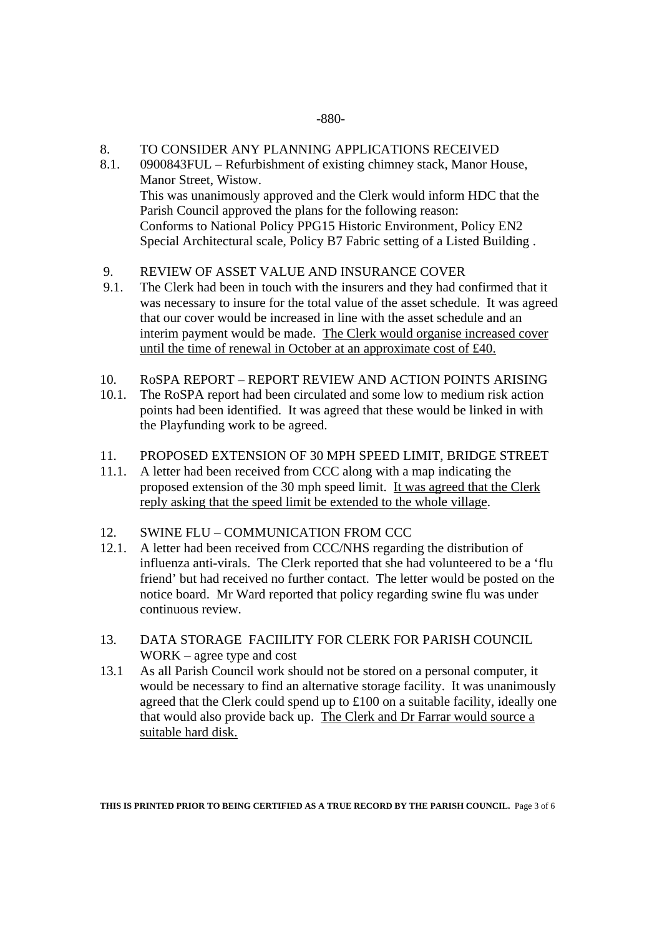#### -880-

## 8. TO CONSIDER ANY PLANNING APPLICATIONS RECEIVED

- 8.1. 0900843FUL Refurbishment of existing chimney stack, Manor House, Manor Street, Wistow. This was unanimously approved and the Clerk would inform HDC that the Parish Council approved the plans for the following reason: Conforms to National Policy PPG15 Historic Environment, Policy EN2 Special Architectural scale, Policy B7 Fabric setting of a Listed Building .
- 9. REVIEW OF ASSET VALUE AND INSURANCE COVER
- 9.1. The Clerk had been in touch with the insurers and they had confirmed that it was necessary to insure for the total value of the asset schedule. It was agreed that our cover would be increased in line with the asset schedule and an interim payment would be made. The Clerk would organise increased cover until the time of renewal in October at an approximate cost of £40.
- 10. RoSPA REPORT REPORT REVIEW AND ACTION POINTS ARISING
- 10.1. The RoSPA report had been circulated and some low to medium risk action points had been identified. It was agreed that these would be linked in with the Playfunding work to be agreed.
- 11. PROPOSED EXTENSION OF 30 MPH SPEED LIMIT, BRIDGE STREET
- 11.1. A letter had been received from CCC along with a map indicating the proposed extension of the 30 mph speed limit. It was agreed that the Clerk reply asking that the speed limit be extended to the whole village.
- 12. SWINE FLU COMMUNICATION FROM CCC
- 12.1. A letter had been received from CCC/NHS regarding the distribution of influenza anti-virals. The Clerk reported that she had volunteered to be a 'flu friend' but had received no further contact. The letter would be posted on the notice board. Mr Ward reported that policy regarding swine flu was under continuous review.
- 13. DATA STORAGE FACIILITY FOR CLERK FOR PARISH COUNCIL WORK – agree type and cost
- 13.1 As all Parish Council work should not be stored on a personal computer, it would be necessary to find an alternative storage facility. It was unanimously agreed that the Clerk could spend up to £100 on a suitable facility, ideally one that would also provide back up. The Clerk and Dr Farrar would source a suitable hard disk.

**THIS IS PRINTED PRIOR TO BEING CERTIFIED AS A TRUE RECORD BY THE PARISH COUNCIL.** Page 3 of 6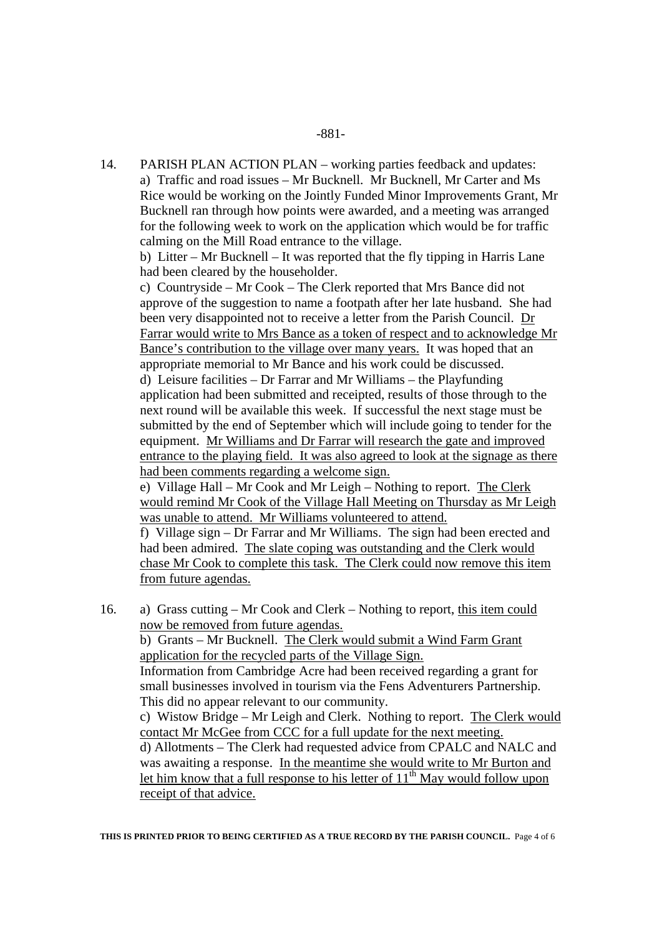14. PARISH PLAN ACTION PLAN – working parties feedback and updates: a) Traffic and road issues – Mr Bucknell. Mr Bucknell, Mr Carter and Ms Rice would be working on the Jointly Funded Minor Improvements Grant, Mr Bucknell ran through how points were awarded, and a meeting was arranged for the following week to work on the application which would be for traffic calming on the Mill Road entrance to the village.

 b) Litter – Mr Bucknell – It was reported that the fly tipping in Harris Lane had been cleared by the householder.

c) Countryside – Mr Cook – The Clerk reported that Mrs Bance did not approve of the suggestion to name a footpath after her late husband. She had been very disappointed not to receive a letter from the Parish Council. Dr Farrar would write to Mrs Bance as a token of respect and to acknowledge Mr Bance's contribution to the village over many years. It was hoped that an appropriate memorial to Mr Bance and his work could be discussed. d) Leisure facilities – Dr Farrar and Mr Williams – the Playfunding application had been submitted and receipted, results of those through to the next round will be available this week. If successful the next stage must be submitted by the end of September which will include going to tender for the equipment. Mr Williams and Dr Farrar will research the gate and improved entrance to the playing field. It was also agreed to look at the signage as there had been comments regarding a welcome sign.

e) Village Hall – Mr Cook and Mr Leigh – Nothing to report. The Clerk would remind Mr Cook of the Village Hall Meeting on Thursday as Mr Leigh was unable to attend. Mr Williams volunteered to attend.

f) Village sign – Dr Farrar and Mr Williams. The sign had been erected and had been admired. The slate coping was outstanding and the Clerk would chase Mr Cook to complete this task. The Clerk could now remove this item from future agendas.

16. a) Grass cutting – Mr Cook and Clerk – Nothing to report, this item could now be removed from future agendas.

 b) Grants – Mr Bucknell. The Clerk would submit a Wind Farm Grant application for the recycled parts of the Village Sign.

 Information from Cambridge Acre had been received regarding a grant for small businesses involved in tourism via the Fens Adventurers Partnership. This did no appear relevant to our community.

 c) Wistow Bridge – Mr Leigh and Clerk. Nothing to report. The Clerk would contact Mr McGee from CCC for a full update for the next meeting.

 d) Allotments – The Clerk had requested advice from CPALC and NALC and was awaiting a response. In the meantime she would write to Mr Burton and let him know that a full response to his letter of  $11<sup>th</sup>$  May would follow upon receipt of that advice.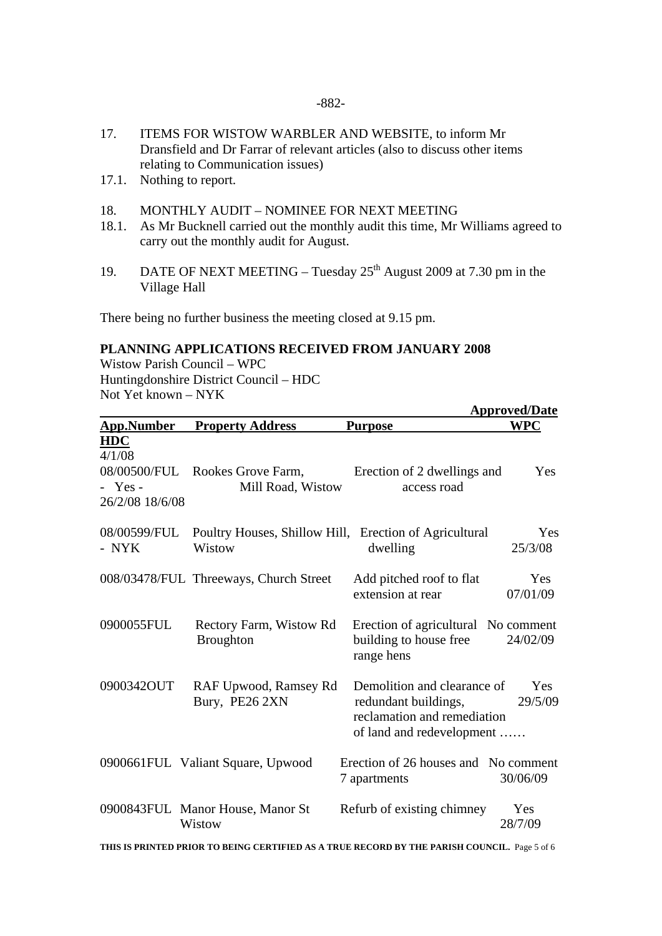- 17. ITEMS FOR WISTOW WARBLER AND WEBSITE, to inform Mr Dransfield and Dr Farrar of relevant articles (also to discuss other items relating to Communication issues)
- 17.1. Nothing to report.
- 18. MONTHLY AUDIT NOMINEE FOR NEXT MEETING
- 18.1. As Mr Bucknell carried out the monthly audit this time, Mr Williams agreed to carry out the monthly audit for August.
- 19. DATE OF NEXT MEETING Tuesday  $25<sup>th</sup>$  August 2009 at 7.30 pm in the Village Hall

There being no further business the meeting closed at 9.15 pm.

# **PLANNING APPLICATIONS RECEIVED FROM JANUARY 2008**

Wistow Parish Council – WPC Huntingdonshire District Council – HDC Not Yet known – NYK

| <b>Approved/Date</b>                                 |                                                                  |                                                                                                                 |                 |
|------------------------------------------------------|------------------------------------------------------------------|-----------------------------------------------------------------------------------------------------------------|-----------------|
| <b>App.Number</b>                                    | <b>Property Address</b>                                          | <b>Purpose</b>                                                                                                  | <b>WPC</b>      |
| <b>HDC</b><br>4/1/08<br>$-$ Yes -<br>26/2/08 18/6/08 | 08/00500/FUL Rookes Grove Farm,<br>Mill Road, Wistow             | Erection of 2 dwellings and<br>access road                                                                      | Yes             |
| 08/00599/FUL<br>- NYK                                | Poultry Houses, Shillow Hill, Erection of Agricultural<br>Wistow | dwelling                                                                                                        | Yes<br>25/3/08  |
|                                                      | 008/03478/FUL Threeways, Church Street                           | Add pitched roof to flat<br>extension at rear                                                                   | Yes<br>07/01/09 |
| 0900055FUL                                           | Rectory Farm, Wistow Rd<br><b>Broughton</b>                      | Erection of agricultural No comment<br>building to house free<br>range hens                                     | 24/02/09        |
| 0900342OUT                                           | RAF Upwood, Ramsey Rd<br>Bury, PE26 2XN                          | Demolition and clearance of<br>redundant buildings,<br>reclamation and remediation<br>of land and redevelopment | Yes<br>29/5/09  |
|                                                      | 0900661FUL Valiant Square, Upwood                                | Erection of 26 houses and No comment<br>7 apartments                                                            | 30/06/09        |
|                                                      | 0900843FUL Manor House, Manor St<br>Wistow                       | Refurb of existing chimney                                                                                      | Yes<br>28/7/09  |

**THIS IS PRINTED PRIOR TO BEING CERTIFIED AS A TRUE RECORD BY THE PARISH COUNCIL.** Page 5 of 6